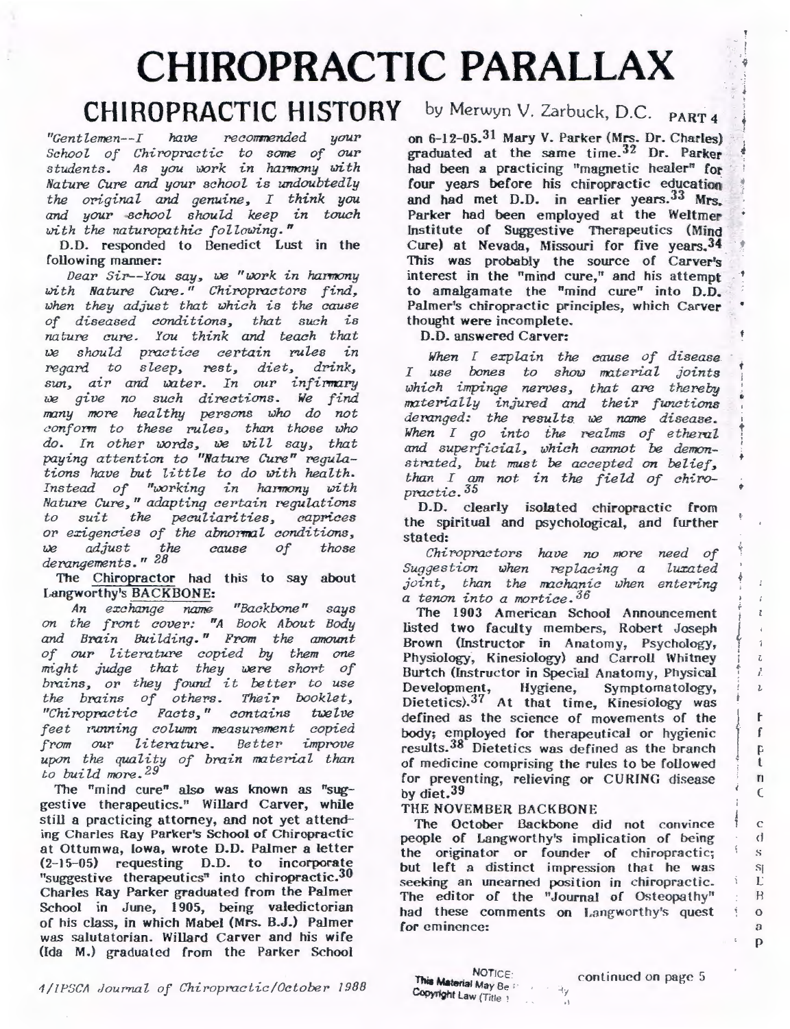# **CHIROPRACTIC PARALLAX** .. *<sup>i</sup>*

# **CHIROPRACTIC HISTORY** by Merwyn V. Zarbuck, D.C. PART 4

*"Gentlemen--I have recorrmended your School of Chiropractic to some of our*  students. As you work in harmony with *Nature Cure and your school, is undoubtedly the original and genuine, I think you and your school should keep in touch*  with the naturopathic following."

D.O. responded to Benedict Lust in the following manner:

*Dear Sir--You say, we "work in harmony* with Nature Cure." Chiropractors find, *z,;hen they adjust that which is the cause of diseased conditions, that such is nature cure. You think and teach that zJe should practice certain PUles in regard to sleep, rest, diet, drink,* sun, air and water. In our infirmary we give no such directions. We find  $many$  more healthy persons who do not *conform to these rules, than those who* do. In other words, we will say, that *paying attention to "Nature Cure" regulations have but little to do with health.*  Instead of "working in harmony with *Nature Cure," adapting certain regulations to suit the peculiarities, caprices*  or exigencies of the abnormal conditions,<br>we adjust the cause of those we adjust the *derongements." 2B* 

The Chiropractor had this to say about Langworthy's BACKBONE:

*An e xchange name "Backbone" says on the front cOVel': "A Book About Body and Brain Building." From the amount of our literature copied by them one might judge that they were short of brains,* OT' *they found it better to use the brains of others. Their booklet,*  "Chiropractic Facts," contains twelve *feet running colwrrn measurement copied from* OUT' *literature. Better improve upon the quality of brain material than to build more. 29* 

The "mind cure" also was known as "suggestive therapeutics." Willard Carver, while still a practicing attorney, and not yet attending Charles Ray Parker's School of Chiropractic at Ottumwa, Iowa, wrote D.O. Palmer a letter (2-15-05) requesting D.D. to incorporate "suggestive therapeutics" into chiropractic.<sup>30</sup> Charles Ray Parker graduated from the Palmer School in June, 1905, being valedictorian of his class, in which Mabel (Mrs. B.J.) Palmer was salutatorian. Willard Carver and his wife (Ida M.) graduated from the Parker School

on  $6-12-05.31$  Mary V. Parker (Mrs. Dr. Charles) graduated at the same time. $32$  Dr. Parker had been a practicing "magnetic healer" for four years before his chiropractic education and had met D.D. in earlier years. 33 Mrs. Parker had been employed at the Weltmer Institute of Suggestive Therapeutics (Mind Cure) at Nevada, Missouri for five years. 34 This was probably the source of Carver's interest in the "mind cure," and his attempt to amalgamate the "mind cure" into  $D.D.$ Palmer's chiropractic principles, which Carver thought were incomplete.

D.D. answered Carver:

*When I explain the cause of disease*  I use bones to show material joints which *impinge* nerves, that are thereby  $materially$  *injured and their functions deranged: the results. we name disease.* • *When* I go into the realms of etheral and *superficial, which cannot* be *demon-* <sup>+</sup> *stmted, but must be accepted on belief,*  than I am not in the field of chiro*practic.35* 

 $+$ 

I I  $\frac{5}{4}$ I ~  $\overline{I}$ /..

 $\mathbf{z}$ 

 $\bar{L}$ 

t f  $\mathbf{D}$ t n  $\epsilon$ 

*c*  <I s Si L H  $\mathbf{o}$  $\Omega$ p

D.D. clearly isolated chiropractic from the spiritual and psychological, and further stated:

*Chiropractors have no more need of Suggestion when replacing a luxated joint, than the machanic when entering a tenon into a mortice.*36

The 1903 American School Announcement listed two faculty members, Robert Joseph Brown (Instructor in Anatomy, Psychology, Physiology, Kinesiology) and Carroll Whitney Burtch (Instructor in Special Anatomy, Physical Development, Hygiene, Symptomatology, Dietetics).37 At that time, Kinesiology was defined as the science of movements of the body; employed for therapeutical or hygienic results.38 Dietetics was defined as the branch of medicine comprising the rules to be followed for preventing, relieving or CURING disease by diet.39

## THE NOVEMBER BACKBONE

The October Backbone did not convince people of Langworthy's implication of being the originator or founder of chiropractic; but left a distinct impression that he was seeking an unearned position in chiropractic. The editor of the "Journal of Osteopathy" had these comments on Langworthy's quest for eminence:

. \

 $\bar{z}_y$ 

*1/11-'DCI! ,Joum.al of Chi ropm c:iic/Ociobe r !988* 

NOTICE:<br>This Material May Be in Copyright Law (Title ' continued on page 5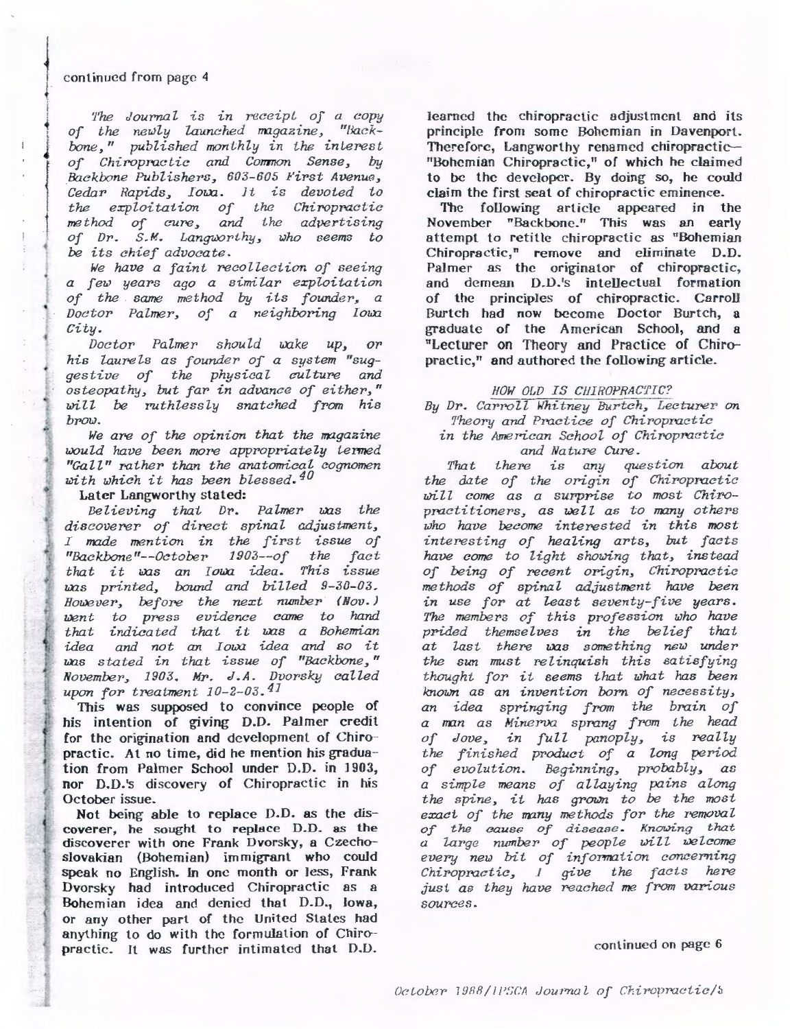#### continued from page 4

!· • in the set of the set of the set of the set of the set of the set of the set of the set of the set of the se<br>
• in the set of the set of the set of the set of the set of the set of the set of the set of the set of the s i

*J* 

I ì.  $\mathbb{R}^n$ 

•·

•

{

j *The Jourr.al is in receipi of a copy*  of the newly launched magazine, "Back*bone,"* published monthly in the interest *of Chiropractic and Co717110n Sense, by &wkbone Publisher8, 603-605 First Avenue, Cedar* Rapids, Iowa. It is devoted to *the exploitation of the Chiropmctic method* of cure, and the advertising of Dr. S.M. Langworthy, who seems to *be its chief advocate.* 

*We have a faint recollection of seeing a few years ago a similar exploitation*  of the same method by its founder, a *Doctor Palmer, of a neighboring lowa City.* 

*Doctor Palmer should wake up, or* his laurels as founder of a system "sug*gestive of the physical culture and osteopathy, but far in advance of either,"*   $will$  be ruthlessly snatched from his *brow.* 

*We are of the opinion that the rragazine would have been more appropriately termed "Gall" rother than the anatomical cognomen with which it has been blessed.40* 

Later Langworthy stated:

*Believing that Dr. Palmer was the* discoverer of direct spinal adjustment, *I* made mention in the first issue of *"Backbone "--October 1 903--of the fact*  that it was an Iowa idea. This issue was printed, bound and billed 9-30-03. *However, before the next nwnber (Nov.) went to press evidence came to hand that indicated thai it ws a Bohemian*  idea and not an *Iowa* idea and so it *ws stated in that issue of "Backbone," November, 1903. Mr. J.A. Dvorsky called upon for treatment 10-2-03.41* 

This was supposed to convince people of *<sup>t</sup>*his intention of giving D.D. Palmer credit for the origination and development of Chiropractic. At no time, did he mention his graduation from Palmer School under D.D. in 1903, nor D.D.'s discovery of Chiropractic in his October issue.

Not being able to replace D.D. as the discoverer, he sought to replace D.D. as the discoverer with one Frank Dvorsky, a Czechoslovakian (Bohemian) immigrant who could speak no English. In one month or less, Frank Dvorsky had introduced Chiropractic as a Bohemian idea and denied that D.D., Iowa, or any other part of the United States had anything to do with the formulation of Chiropractic. Jt was further intimated that D.D.

learned the chiropractic adjustment and its principle from some Bohemian in Davenport. Therefore, Langworthy renamed chiropractic--"Bohemian Chiropractic," of which he claimed to be the developer. By doing so, he could claim the first seat of chiropractic eminence.

The following article appeared in the November "Backbone." This was an early attempt to retitle chiropractic as "Bohemian Chiropractic," remove and eliminate D.D. Palmer as the originator of chiropractic, and demean D.D.'s intellectual formation of the principles of chiropractic. Carroll Burtch had now become Doctor Burtch, a graduate of the American School, and a "Lecturer on Theory and Practice of Chiropractic," and authored the following article.

#### *HOW OLD IS CHIHOPRACTIC?*

*By Dr. Carroll Whitney Burtch, Lecturer on Theory and Practice of Chiropractic in the American School of Chiropractic and Nature Cure.* 

*That there is any question about*  the date of the origin of Chiropractic will come as a surprise to most Chiropractitioners, as well as to many others *who have become interested in this most*  interesting of healing arts, but facts *have come to light showing that, instead of being of recent origin, Chiropractic methods of spinal adjustment have been in use for at least seventy-five years.* The *members of this profession who have prided themselves in the belief that at last there uxzs something new under*  the sun must relinquish this satisfying *thought for it seems that wh.at* has *been known as an invention born of necessity, an idea springing from the brain of a rran as* Minerva *sprang from the head*  of Jove, in full panoply, is really *the finished product of a long period of evolution. Beginning, probably, as a simple means of allaying pains along the spine, it has grown to* be *the most*  exact of the many methods for the removal *of the eause of disease. Knowing that a large number of people blill welcome*  every new bit of information concerning *Chiropractic, I give the facts here just as they have reached me from various*  sources.

#### continued on page 6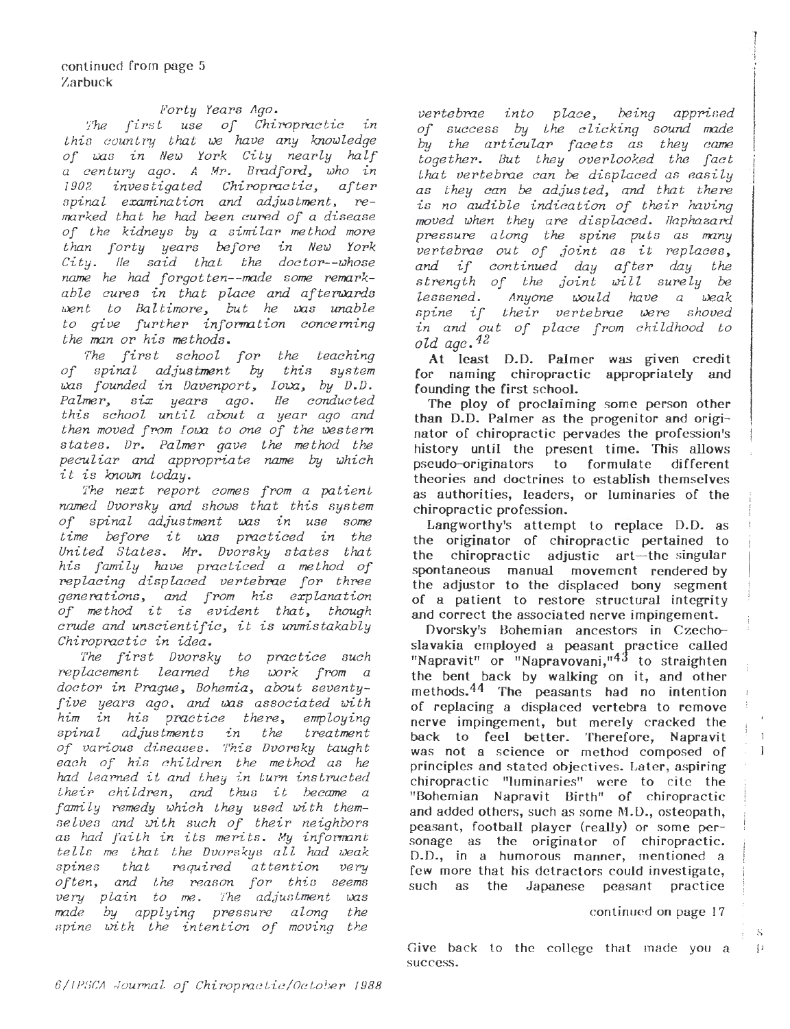### *forty Years 11go.*

The first use of Chiropractic in *this country that we have any knowledge*  of was in New York City nearly half *a century ago. A Mr. Bradford, who in investigated Chiropractic,* spinal examination and adjustment, re*marked that he had been cured of a disease of the kidneys by a similar method more than forty years be[oro in New York City. lie said that the doctor--whose*  ~ *he had forgotten--made some romark*able cures in that place and afterwards went to Baltimore, but he was unable *to give further information concerning the man or his methods.* 

*The first school for the teaching of spinal adjustment by this system zas founded in Davenport, Ioxa, by D.D.*<br>Palmer, six years ago. He conducted *Palmer, six years ago. Be conducted this school until about a year ago and then moved from I owa to one of the western states. Dr. Palmer gave the method the peculiar and appropria te name by which it is known today.* 

*The next report comes from a patient named Dvorsky and shows that this system of spinal adjustment ws in use some time before it was practiced in the United States. Mr. Dvorsky states that his family have practiced a me thad of replacing displaced vertebrae for three*  generations, and from his explanation<br>of method it is evident that, though *crude and unscientific, it is unmistakably Chiropractic in idea.* 

*The first Dvorsky to practice such replacement learned the work from a doctor in Prague, Bohemia, about seventy*five years ago, and was associated with *him in his prac-tice there, employing*  spinal adjustments in the *of various diseases. This Dvorsky taught each of his c hildren the method as he had learned it and they in turn instructed <sup>t</sup> heir childron, and thus it became a [ami ly romedy which t hey used wi t h themse lven and with such of their neighbors*  as had faith in its merits. My informant *tells me th.at the Dvorskys all had weak spines that roquired attention very often, and t h.e reason for• this seems very plain to me. The adjustment was made by applying pressuro along the spine with the intention of moving the* 

*vertebrae into place, being apprised of success* by *the clicking sound made*  by *the articular facets as they came together.* But they overlooked the fact *that vertebrae can be displaced as easily as they can be adjusted,* and *that ther'e is no audible indication of their having*   $moved$  when they are displaced. Haphazard *pressure along the spine puts as many vertebrae* out of joint as it replaces, *and if continued day after day the strongth of the joint will surely be lessened.* Anyone would have a weak *spine if their vertebme were shoved in and out of place from c hildhood to old age. 42* 

At least D.D. Palmer was given credit for naming chiropractic appropriately and founding the first school.

The ploy of proclaiming some person other than D.D. Palmer as the progenitor and originator of chiropractic pervades the profession's history until the present time. This allows pseudo-or·iginators to formulate different theories and doctrines to establish themselves as authorities, leaders, or luminaries of the chiropractic profession.

Langworthy's attempt to replace D.D. as the originator of chiropractic pertained to the chiropractic adjustic art-the singular spontaneous manual movement rendered by the adjustor to the displaced bony segment of a patient to restore structural integrity and correct the associated nerve impingement.

Dvorsky's Bohemian ancestors in Czechoslavakia employed a peasant practice called "Napravit" or "Napravovani," $43$  to straighten the bent back by walking on it, and other methods. 44 The peasants had no intention of replacing a displaced vertebra to remove nerve impingement, but merely cracked the back to feel better. Therefore, Napravit was not a science or method composed of principles and stated objectives. Later, aspiring chiropractic "luminaries" were to cite the "Bohemian Napravit Birth" of chiropractic and added others, such as some M.D., osteopath, peasant, football player (really) or some personage as the originator of chiropractic. D.D., in a humorous manner, mentioned a few more that his detractors could investigate, such as the Japanese peasant practice

#### continued on page 17

Give back to the college that made you  $a = p$ success.

s

 $\mathbf{1}$ J.

; I -J